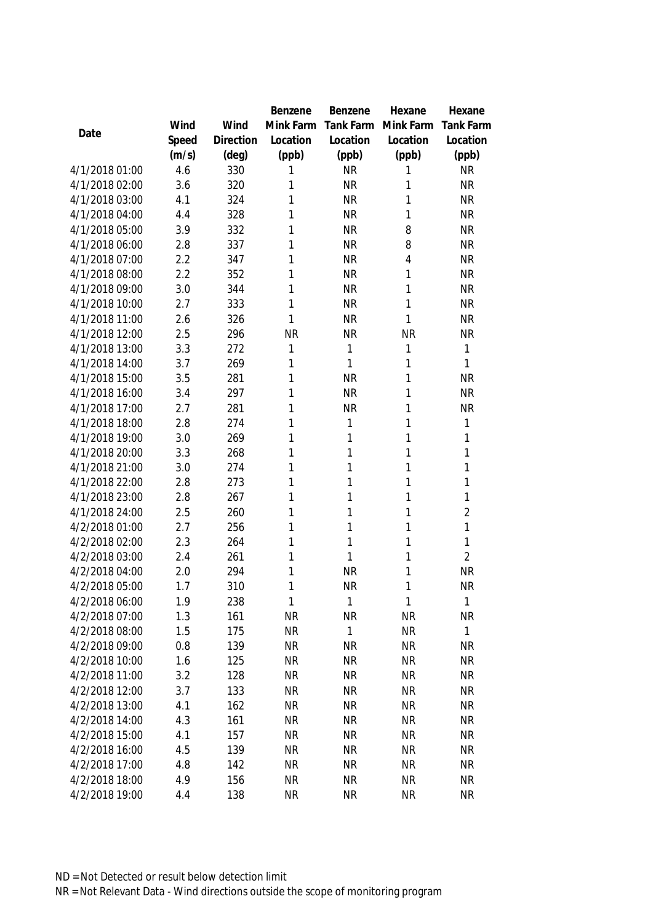|                |       |           | Benzene   | Benzene      | Hexane       | Hexane           |
|----------------|-------|-----------|-----------|--------------|--------------|------------------|
|                | Wind  | Wind      | Mink Farm | Tank Farm    | Mink Farm    | <b>Tank Farm</b> |
| Date           | Speed | Direction | Location  | Location     | Location     | Location         |
|                | (m/s) | (deg)     | (ppb)     | (ppb)        | (ppb)        | (ppb)            |
| 4/1/2018 01:00 | 4.6   | 330       | 1         | <b>NR</b>    | 1            | <b>NR</b>        |
| 4/1/2018 02:00 | 3.6   | 320       | 1         | <b>NR</b>    | 1            | <b>NR</b>        |
| 4/1/2018 03:00 | 4.1   | 324       | 1         | <b>NR</b>    | 1            | <b>NR</b>        |
| 4/1/2018 04:00 | 4.4   | 328       | 1         | <b>NR</b>    | 1            | <b>NR</b>        |
| 4/1/2018 05:00 | 3.9   | 332       | 1         | <b>NR</b>    | 8            | <b>NR</b>        |
| 4/1/2018 06:00 | 2.8   | 337       | 1         | <b>NR</b>    | 8            | <b>NR</b>        |
| 4/1/2018 07:00 | 2.2   | 347       | 1         | <b>NR</b>    | 4            | <b>NR</b>        |
| 4/1/2018 08:00 | 2.2   | 352       | 1         | <b>NR</b>    | 1            | <b>NR</b>        |
| 4/1/2018 09:00 | 3.0   | 344       | 1         | <b>NR</b>    | 1            | <b>NR</b>        |
| 4/1/2018 10:00 | 2.7   | 333       | 1         | <b>NR</b>    | 1            | <b>NR</b>        |
| 4/1/2018 11:00 | 2.6   | 326       | 1         | <b>NR</b>    | 1            | <b>NR</b>        |
| 4/1/2018 12:00 | 2.5   | 296       | <b>NR</b> | <b>NR</b>    | <b>NR</b>    | <b>NR</b>        |
| 4/1/2018 13:00 | 3.3   | 272       | 1         | $\mathbf 1$  | 1            | 1                |
| 4/1/2018 14:00 | 3.7   | 269       | 1         | 1            | 1            | $\mathbf{1}$     |
| 4/1/2018 15:00 | 3.5   | 281       | 1         | <b>NR</b>    | 1            | <b>NR</b>        |
| 4/1/2018 16:00 | 3.4   | 297       | 1         | <b>NR</b>    | 1            | <b>NR</b>        |
| 4/1/2018 17:00 | 2.7   | 281       | 1         | <b>NR</b>    | 1            | <b>NR</b>        |
| 4/1/2018 18:00 | 2.8   | 274       | 1         | 1            | 1            | 1                |
| 4/1/2018 19:00 | 3.0   | 269       | 1         | 1            | 1            | 1                |
| 4/1/2018 20:00 | 3.3   | 268       | 1         | 1            | 1            | 1                |
| 4/1/2018 21:00 | 3.0   | 274       | 1         | 1            | 1            | 1                |
| 4/1/2018 22:00 | 2.8   | 273       | 1         | 1            | 1            | 1                |
| 4/1/2018 23:00 | 2.8   | 267       | 1         | 1            | 1            | 1                |
| 4/1/2018 24:00 | 2.5   | 260       | 1         | 1            | 1            | $\overline{2}$   |
| 4/2/2018 01:00 | 2.7   | 256       | 1         | 1            | 1            | 1                |
| 4/2/2018 02:00 | 2.3   | 264       | 1         | $\mathbf{1}$ | 1            | 1                |
| 4/2/2018 03:00 | 2.4   | 261       | 1         | $\mathbf{1}$ | 1            | $\overline{2}$   |
| 4/2/2018 04:00 | 2.0   | 294       | 1         | <b>NR</b>    | 1            | <b>NR</b>        |
| 4/2/2018 05:00 | 1.7   | 310       | 1         | <b>NR</b>    | 1            | <b>NR</b>        |
| 4/2/2018 06:00 | 1.9   | 238       | 1         | 1            | $\mathbf{1}$ | $\mathbf{1}$     |
| 4/2/2018 07:00 | 1.3   | 161       | <b>NR</b> | <b>NR</b>    | <b>NR</b>    | <b>NR</b>        |
| 4/2/2018 08:00 | 1.5   | 175       | <b>NR</b> | 1            | <b>NR</b>    | $\mathbf{1}$     |
| 4/2/2018 09:00 | 0.8   | 139       | <b>NR</b> | <b>NR</b>    | <b>NR</b>    | <b>NR</b>        |
| 4/2/2018 10:00 | 1.6   | 125       | <b>NR</b> | NR           | <b>NR</b>    | <b>NR</b>        |
| 4/2/2018 11:00 | 3.2   | 128       | <b>NR</b> | <b>NR</b>    | <b>NR</b>    | <b>NR</b>        |
| 4/2/2018 12:00 | 3.7   | 133       | <b>NR</b> | <b>NR</b>    | <b>NR</b>    | <b>NR</b>        |
| 4/2/2018 13:00 | 4.1   | 162       | <b>NR</b> | <b>NR</b>    | <b>NR</b>    | <b>NR</b>        |
| 4/2/2018 14:00 | 4.3   | 161       | <b>NR</b> | <b>NR</b>    | <b>NR</b>    | <b>NR</b>        |
| 4/2/2018 15:00 | 4.1   | 157       | <b>NR</b> | <b>NR</b>    | <b>NR</b>    | <b>NR</b>        |
| 4/2/2018 16:00 | 4.5   | 139       | <b>NR</b> | <b>NR</b>    | <b>NR</b>    | <b>NR</b>        |
| 4/2/2018 17:00 | 4.8   | 142       | <b>NR</b> | <b>NR</b>    | <b>NR</b>    | <b>NR</b>        |
| 4/2/2018 18:00 | 4.9   | 156       | <b>NR</b> | <b>NR</b>    | <b>NR</b>    | <b>NR</b>        |
| 4/2/2018 19:00 | 4.4   | 138       | <b>NR</b> | <b>NR</b>    | <b>NR</b>    | <b>NR</b>        |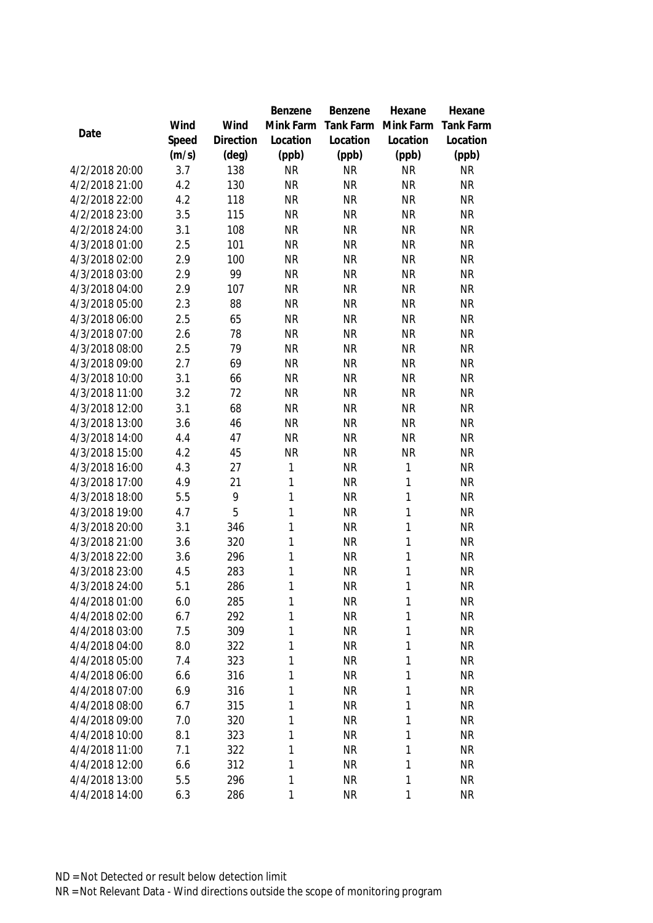|                |       |                | Benzene      | Benzene   | Hexane       | Hexane           |
|----------------|-------|----------------|--------------|-----------|--------------|------------------|
|                | Wind  | Wind           | Mink Farm    | Tank Farm | Mink Farm    | <b>Tank Farm</b> |
| Date           | Speed | Direction      | Location     | Location  | Location     | Location         |
|                | (m/s) | $(\text{deg})$ | (ppb)        | (ppb)     | (ppb)        | (ppb)            |
| 4/2/2018 20:00 | 3.7   | 138            | <b>NR</b>    | <b>NR</b> | <b>NR</b>    | <b>NR</b>        |
| 4/2/2018 21:00 | 4.2   | 130            | <b>NR</b>    | <b>NR</b> | <b>NR</b>    | <b>NR</b>        |
| 4/2/2018 22:00 | 4.2   | 118            | <b>NR</b>    | <b>NR</b> | <b>NR</b>    | <b>NR</b>        |
| 4/2/2018 23:00 | 3.5   | 115            | <b>NR</b>    | <b>NR</b> | <b>NR</b>    | NR               |
| 4/2/2018 24:00 | 3.1   | 108            | <b>NR</b>    | <b>NR</b> | <b>NR</b>    | <b>NR</b>        |
| 4/3/2018 01:00 | 2.5   | 101            | <b>NR</b>    | <b>NR</b> | <b>NR</b>    | <b>NR</b>        |
| 4/3/2018 02:00 | 2.9   | 100            | <b>NR</b>    | <b>NR</b> | <b>NR</b>    | <b>NR</b>        |
| 4/3/2018 03:00 | 2.9   | 99             | <b>NR</b>    | <b>NR</b> | <b>NR</b>    | <b>NR</b>        |
| 4/3/2018 04:00 | 2.9   | 107            | <b>NR</b>    | <b>NR</b> | <b>NR</b>    | <b>NR</b>        |
| 4/3/2018 05:00 | 2.3   | 88             | <b>NR</b>    | <b>NR</b> | <b>NR</b>    | <b>NR</b>        |
| 4/3/2018 06:00 | 2.5   | 65             | <b>NR</b>    | <b>NR</b> | <b>NR</b>    | <b>NR</b>        |
| 4/3/2018 07:00 | 2.6   | 78             | <b>NR</b>    | <b>NR</b> | <b>NR</b>    | <b>NR</b>        |
| 4/3/2018 08:00 | 2.5   | 79             | <b>NR</b>    | <b>NR</b> | <b>NR</b>    | <b>NR</b>        |
| 4/3/2018 09:00 | 2.7   | 69             | <b>NR</b>    | <b>NR</b> | <b>NR</b>    | <b>NR</b>        |
| 4/3/2018 10:00 | 3.1   | 66             | <b>NR</b>    | <b>NR</b> | <b>NR</b>    | <b>NR</b>        |
| 4/3/2018 11:00 | 3.2   | 72             | <b>NR</b>    | <b>NR</b> | <b>NR</b>    | <b>NR</b>        |
| 4/3/2018 12:00 | 3.1   | 68             | <b>NR</b>    | <b>NR</b> | <b>NR</b>    | <b>NR</b>        |
| 4/3/2018 13:00 | 3.6   | 46             | <b>NR</b>    | <b>NR</b> | <b>NR</b>    | <b>NR</b>        |
| 4/3/2018 14:00 | 4.4   | 47             | <b>NR</b>    | <b>NR</b> | <b>NR</b>    | <b>NR</b>        |
| 4/3/2018 15:00 | 4.2   | 45             | <b>NR</b>    | <b>NR</b> | <b>NR</b>    | <b>NR</b>        |
| 4/3/2018 16:00 | 4.3   | 27             | 1            | <b>NR</b> | $\mathbf{1}$ | <b>NR</b>        |
| 4/3/2018 17:00 | 4.9   | 21             | 1            | <b>NR</b> | $\mathbf{1}$ | <b>NR</b>        |
| 4/3/2018 18:00 | 5.5   | 9              | $\mathbf{1}$ | <b>NR</b> | $\mathbf{1}$ | <b>NR</b>        |
| 4/3/2018 19:00 | 4.7   | 5              | 1            | <b>NR</b> | $\mathbf{1}$ | <b>NR</b>        |
| 4/3/2018 20:00 | 3.1   | 346            | $\mathbf{1}$ | <b>NR</b> | $\mathbf{1}$ | <b>NR</b>        |
| 4/3/2018 21:00 | 3.6   | 320            | $\mathbf{1}$ | <b>NR</b> | $\mathbf{1}$ | <b>NR</b>        |
| 4/3/2018 22:00 | 3.6   | 296            | $\mathbf{1}$ | <b>NR</b> | $\mathbf{1}$ | <b>NR</b>        |
| 4/3/2018 23:00 | 4.5   | 283            | $\mathbf{1}$ | <b>NR</b> | $\mathbf{1}$ | <b>NR</b>        |
| 4/3/2018 24:00 | 5.1   | 286            | 1            | <b>NR</b> | 1            | <b>NR</b>        |
| 4/4/2018 01:00 | 6.0   | 285            | 1            | <b>NR</b> | 1            | <b>NR</b>        |
| 4/4/2018 02:00 | 6.7   | 292            | 1            | <b>NR</b> | 1            | <b>NR</b>        |
| 4/4/2018 03:00 | 7.5   | 309            | 1            | <b>NR</b> | $\mathbf{1}$ | <b>NR</b>        |
| 4/4/2018 04:00 | 8.0   | 322            | 1            | <b>NR</b> | $\mathbf{1}$ | <b>NR</b>        |
| 4/4/2018 05:00 | 7.4   | 323            | 1            | <b>NR</b> | 1            | <b>NR</b>        |
| 4/4/2018 06:00 | 6.6   | 316            | 1            | <b>NR</b> | 1            | <b>NR</b>        |
| 4/4/2018 07:00 | 6.9   | 316            | $\mathbf{1}$ | <b>NR</b> | $\mathbf{1}$ | <b>NR</b>        |
| 4/4/2018 08:00 | 6.7   | 315            | $\mathbf{1}$ | <b>NR</b> | $\mathbf{1}$ | <b>NR</b>        |
| 4/4/2018 09:00 | 7.0   | 320            | $\mathbf{1}$ | <b>NR</b> | $\mathbf{1}$ | <b>NR</b>        |
| 4/4/2018 10:00 | 8.1   | 323            | 1            | <b>NR</b> | $\mathbf{1}$ | <b>NR</b>        |
| 4/4/2018 11:00 | 7.1   | 322            | $\mathbf{1}$ | <b>NR</b> | $\mathbf{1}$ | <b>NR</b>        |
| 4/4/2018 12:00 | 6.6   | 312            | $\mathbf{1}$ | <b>NR</b> | $\mathbf{1}$ | <b>NR</b>        |
| 4/4/2018 13:00 | 5.5   | 296            | 1            | <b>NR</b> | 1            | <b>NR</b>        |
| 4/4/2018 14:00 | 6.3   | 286            | 1            | <b>NR</b> | 1            | <b>NR</b>        |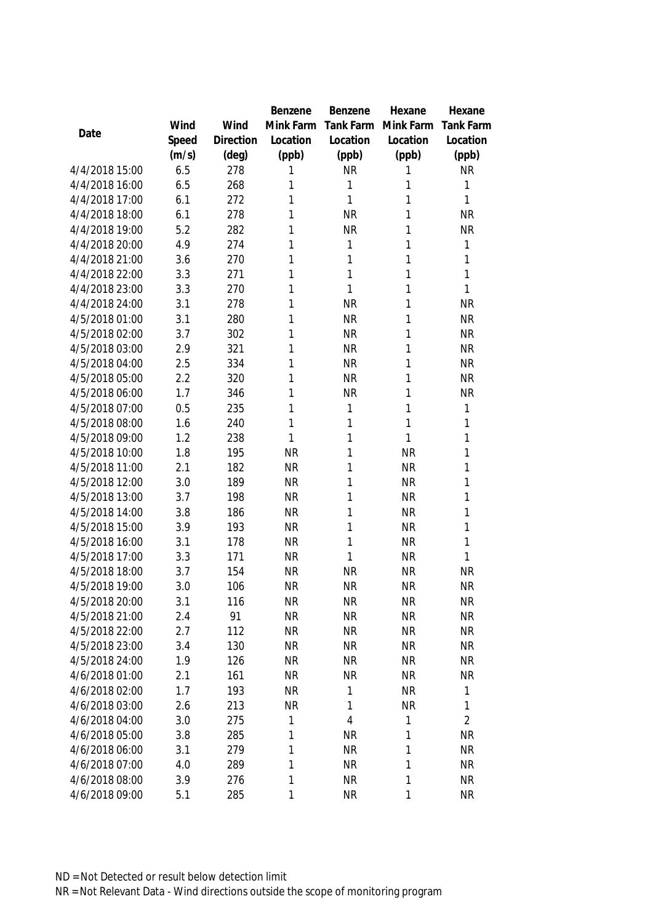|                |       |           | Benzene   | Benzene        | Hexane    | Hexane           |
|----------------|-------|-----------|-----------|----------------|-----------|------------------|
|                | Wind  | Wind      | Mink Farm | Tank Farm      | Mink Farm | <b>Tank Farm</b> |
| Date           | Speed | Direction | Location  | Location       | Location  | Location         |
|                | (m/s) | (deg)     | (ppb)     | (ppb)          | (ppb)     | (ppb)            |
| 4/4/2018 15:00 | 6.5   | 278       | 1         | <b>NR</b>      | 1         | <b>NR</b>        |
| 4/4/2018 16:00 | 6.5   | 268       | 1         | 1              | 1         | 1                |
| 4/4/2018 17:00 | 6.1   | 272       | 1         | 1              | 1         | 1                |
| 4/4/2018 18:00 | 6.1   | 278       | 1         | <b>NR</b>      | 1         | <b>NR</b>        |
| 4/4/2018 19:00 | 5.2   | 282       | 1         | <b>NR</b>      | 1         | <b>NR</b>        |
| 4/4/2018 20:00 | 4.9   | 274       | 1         | 1              | 1         | 1                |
| 4/4/2018 21:00 | 3.6   | 270       | 1         | 1              | 1         | 1                |
| 4/4/2018 22:00 | 3.3   | 271       | 1         | 1              | 1         | 1                |
| 4/4/2018 23:00 | 3.3   | 270       | 1         | 1              | 1         | 1                |
| 4/4/2018 24:00 | 3.1   | 278       | 1         | <b>NR</b>      | 1         | <b>NR</b>        |
| 4/5/2018 01:00 | 3.1   | 280       | 1         | <b>NR</b>      | 1         | <b>NR</b>        |
| 4/5/2018 02:00 | 3.7   | 302       | 1         | <b>NR</b>      | 1         | <b>NR</b>        |
| 4/5/2018 03:00 | 2.9   | 321       | 1         | <b>NR</b>      | 1         | <b>NR</b>        |
| 4/5/2018 04:00 | 2.5   | 334       | 1         | <b>NR</b>      | 1         | <b>NR</b>        |
| 4/5/2018 05:00 | 2.2   | 320       | 1         | <b>NR</b>      | 1         | <b>NR</b>        |
| 4/5/2018 06:00 | 1.7   | 346       | 1         | <b>NR</b>      | 1         | <b>NR</b>        |
| 4/5/2018 07:00 | 0.5   | 235       | 1         | 1              | 1         | 1                |
| 4/5/2018 08:00 | 1.6   | 240       | 1         | 1              | 1         | 1                |
| 4/5/2018 09:00 | 1.2   | 238       | 1         | 1              | 1         | 1                |
| 4/5/2018 10:00 | 1.8   | 195       | <b>NR</b> | 1              | <b>NR</b> | 1                |
| 4/5/2018 11:00 | 2.1   | 182       | <b>NR</b> | 1              | <b>NR</b> | 1                |
| 4/5/2018 12:00 | 3.0   | 189       | <b>NR</b> | 1              | <b>NR</b> | 1                |
| 4/5/2018 13:00 | 3.7   | 198       | <b>NR</b> | 1              | <b>NR</b> | 1                |
| 4/5/2018 14:00 | 3.8   | 186       | <b>NR</b> | 1              | <b>NR</b> | 1                |
| 4/5/2018 15:00 | 3.9   | 193       | <b>NR</b> | 1              | <b>NR</b> | 1                |
| 4/5/2018 16:00 | 3.1   | 178       | <b>NR</b> | 1              | <b>NR</b> | 1                |
| 4/5/2018 17:00 | 3.3   | 171       | <b>NR</b> | $\mathbf{1}$   | <b>NR</b> | 1                |
| 4/5/2018 18:00 | 3.7   | 154       | <b>NR</b> | <b>NR</b>      | <b>NR</b> | <b>NR</b>        |
| 4/5/2018 19:00 | 3.0   | 106       | <b>NR</b> | <b>NR</b>      | <b>NR</b> | <b>NR</b>        |
| 4/5/2018 20:00 | 3.1   | 116       | <b>NR</b> | <b>NR</b>      | <b>NR</b> | <b>NR</b>        |
| 4/5/2018 21:00 | 2.4   | 91        | <b>NR</b> | <b>NR</b>      | <b>NR</b> | <b>NR</b>        |
| 4/5/2018 22:00 | 2.7   | 112       | <b>NR</b> | <b>NR</b>      | <b>NR</b> | <b>NR</b>        |
| 4/5/2018 23:00 | 3.4   | 130       | <b>NR</b> | <b>NR</b>      | <b>NR</b> | <b>NR</b>        |
| 4/5/2018 24:00 | 1.9   | 126       | NR        | <b>NR</b>      | <b>NR</b> | <b>NR</b>        |
| 4/6/2018 01:00 | 2.1   | 161       | <b>NR</b> | <b>NR</b>      | <b>NR</b> | <b>NR</b>        |
| 4/6/2018 02:00 | 1.7   | 193       | <b>NR</b> | 1              | <b>NR</b> | $\mathbf 1$      |
| 4/6/2018 03:00 | 2.6   | 213       | <b>NR</b> | 1              | <b>NR</b> | $\mathbf{1}$     |
| 4/6/2018 04:00 | 3.0   | 275       | 1         | $\overline{4}$ | 1         | $\overline{2}$   |
| 4/6/2018 05:00 | 3.8   | 285       | 1         | <b>NR</b>      | 1         | <b>NR</b>        |
| 4/6/2018 06:00 | 3.1   | 279       | 1         | <b>NR</b>      | 1         | <b>NR</b>        |
| 4/6/2018 07:00 | 4.0   | 289       | 1         | <b>NR</b>      | 1         | <b>NR</b>        |
| 4/6/2018 08:00 | 3.9   | 276       | 1         | <b>NR</b>      | 1         | <b>NR</b>        |
| 4/6/2018 09:00 | 5.1   | 285       | 1         | <b>NR</b>      | 1         | <b>NR</b>        |